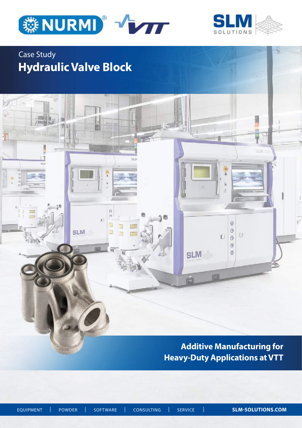

昿

 $\ddot{\mathbf{0}}$  $\alpha$ ö

⋾

E

**SLM** 

 $112$ 



5134

## Case Study **Hydraulic Valve Block**

ĩΠ

Ĥ

sú

 $51 -$ 

 $\overline{6}$  $\frac{1}{2}$ 

> **Additive Manufacturing for Heavy-Duty Applications at VTT**

 $\ddot{\theta}$ 

 $\circ$ 

 $\Box$  $\ddot{\circ}$  $\circledcirc$  $\circledS$ 

**SLM** 

ë

的

 $\Box$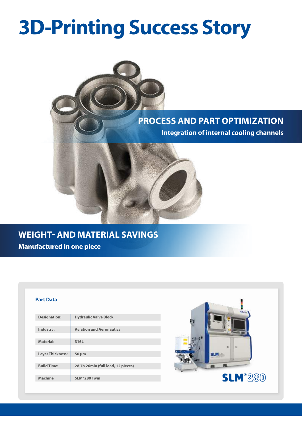# **3D-Printing Success Story**



### **WEIGHT- AND MATERIAL SAVINGS Manufactured in one piece**

#### **Part Data**

| <b>Hydraulic Valve Block</b>       |
|------------------------------------|
|                                    |
| <b>Aviation and Aeronautics</b>    |
|                                    |
| 316L                               |
|                                    |
| $50 \mu m$                         |
|                                    |
| 2d 7h 26min (full load, 12 pieces) |
|                                    |
| SLM®280 Twin                       |
|                                    |

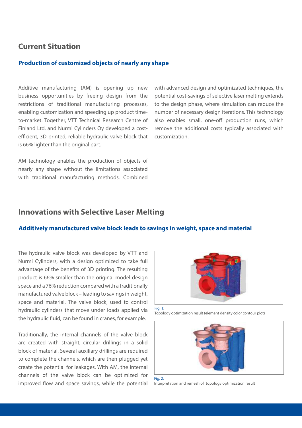#### **Current Situation**

#### **Production of customized objects of nearly any shape**

Additive manufacturing (AM) is opening up new business opportunities by freeing design from the restrictions of traditional manufacturing processes, enabling customization and speeding up product timeto-market. Together, VTT Technical Research Centre of Finland Ltd. and Nurmi Cylinders Oy developed a costefficient, 3D-printed, reliable hydraulic valve block that is 66% lighter than the original part.

AM technology enables the production of objects of nearly any shape without the limitations associated with traditional manufacturing methods. Combined

with advanced design and optimizated techniques, the potential cost-savings of selective laser melting extends to the design phase, where simulation can reduce the number of necessary design iterations. This technology also enables small, one-off production runs, which remove the additional costs typically associated with customization.

#### **Innovations with Selective Laser Melting**

#### **Additively manufactured valve block leads to savings in weight, space and material**

The hydraulic valve block was developed by VTT and Nurmi Cylinders, with a design optimized to take full advantage of the benefits of 3D printing. The resulting product is 66% smaller than the original model design space and a 76% reduction compared with a traditionally manufactured valve block – leading to savings in weight, space and material. The valve block, used to control hydraulic cylinders that move under loads applied via the hydraulic fluid, can be found in cranes, for example.

Traditionally, the internal channels of the valve block are created with straight, circular drillings in a solid block of material. Several auxiliary drillings are required to complete the channels, which are then plugged yet create the potential for leakages. With AM, the internal channels of the valve block can be optimized for improved flow and space savings, while the potential



Fig. 1: Topology optimization result (element density color contour plot)



Fig.  $2$ Interpretation and remesh of topology optimization result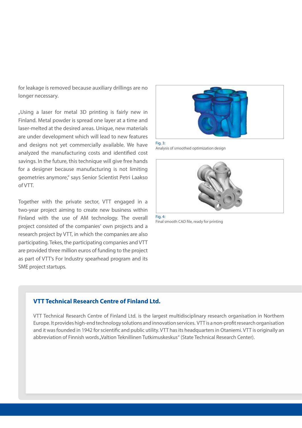for leakage is removed because auxiliary drillings are no longer necessary.

"Using a laser for metal 3D printing is fairly new in Finland. Metal powder is spread one layer at a time and laser-melted at the desired areas. Unique, new materials are under development which will lead to new features and designs not yet commercially available. We have analyzed the manufacturing costs and identified cost savings. In the future, this technique will give free hands for a designer because manufacturing is not limiting geometries anymore," says Senior Scientist Petri Laakso of VTT.

Together with the private sector, VTT engaged in a two-year project aiming to create new business within Finland with the use of AM technology. The overall project consisted of the companies' own projects and a research project by VTT, in which the companies are also participating. Tekes, the participating companies and VTT are provided three million euros of funding to the project as part of VTT's For Industry spearhead program and its SME project startups.



Fig. 3: Analysis of smoothed optimization design



Fig. 4: Final smooth CAD file, ready for printing

#### **VTT Technical Research Centre of Finland Ltd.**

VTT Technical Research Centre of Finland Ltd. is the largest multidisciplinary research organisation in Northern Europe. It provides high-end technology solutions and innovation services. VTT is a non-profit research organisation and it was founded in 1942 for scientific and public utility. VTT has its headquarters in Otaniemi. VTT is originally an abbreviation of Finnish words "Valtion Teknillinen Tutkimuskeskus" (State Technical Research Center).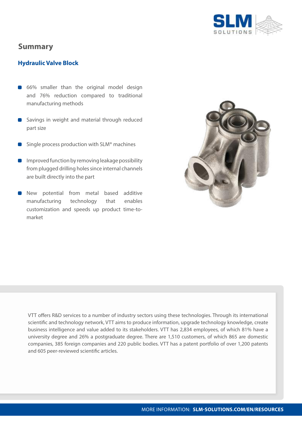

#### **Summary**

#### **Hydraulic Valve Block**

- 66% smaller than the original model design and 76% reduction compared to traditional manufacturing methods
- Savings in weight and material through reduced part size
- Single process production with SLM® machines
- Improved function by removing leakage possibility from plugged drilling holes since internal channels are built directly into the part
- New potential from metal based additive manufacturing technology that enables customization and speeds up product time-tomarket



VTT offers R&D services to a number of industry sectors using these technologies. Through its international scientific and technology network, VTT aims to produce information, upgrade technology knowledge, create business intelligence and value added to its stakeholders. VTT has 2,834 employees, of which 81% have a university degree and 26% a postgraduate degree. There are 1,510 customers, of which 865 are domestic companies, 385 foreign companies and 220 public bodies. VTT has a patent portfolio of over 1,200 patents and 605 peer-reviewed scientific articles.